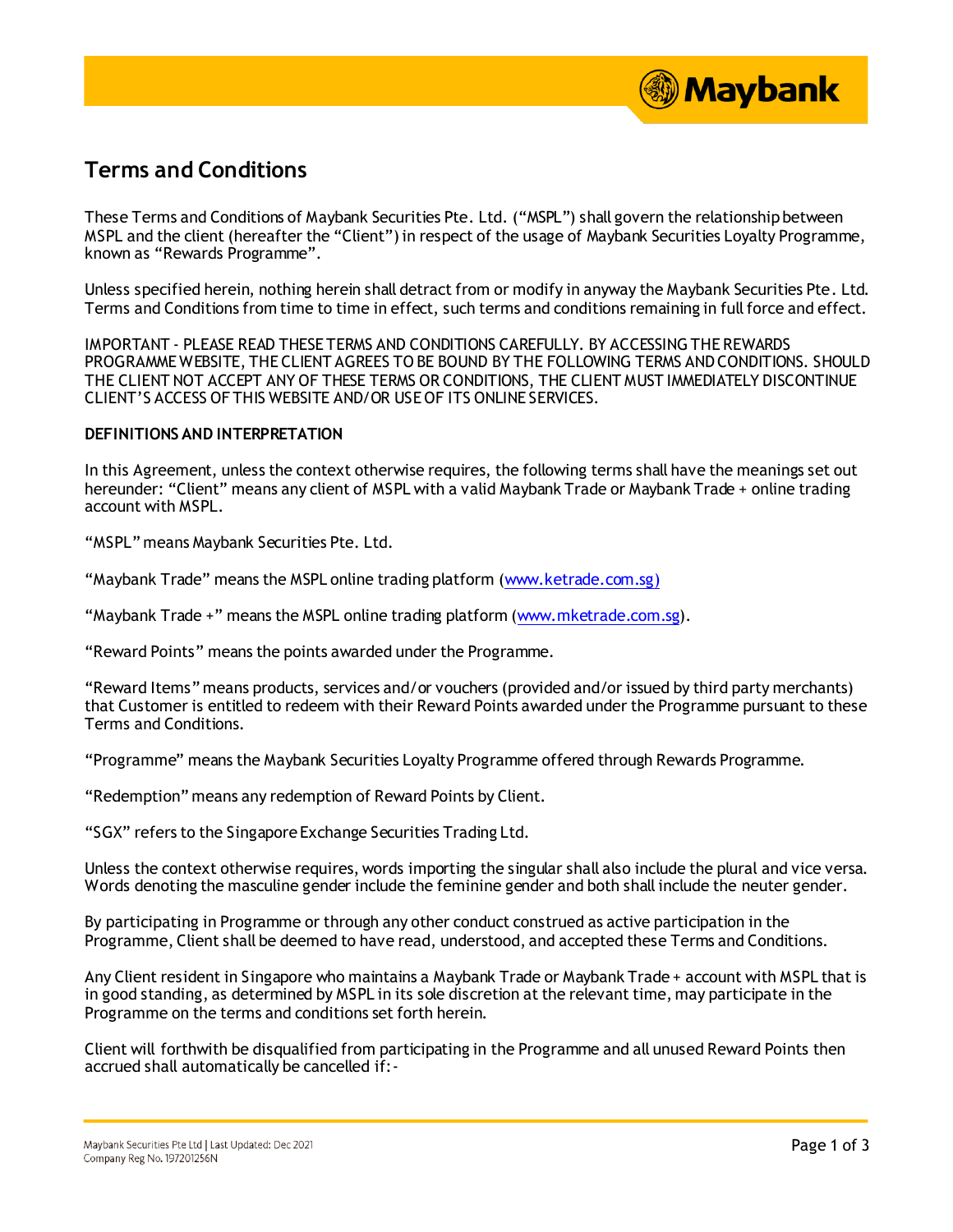

## **Terms and Conditions**

These Terms and Conditions of Maybank Securities Pte. Ltd. ("MSPL") shall govern the relationship between MSPL and the client (hereafter the "Client") in respect of the usage of Maybank Securities Loyalty Programme, known as "Rewards Programme".

Unless specified herein, nothing herein shall detract from or modify in anyway the Maybank Securities Pte. Ltd. Terms and Conditions from time to time in effect, such terms and conditions remaining in full force and effect.

IMPORTANT - PLEASE READ THESE TERMS AND CONDITIONS CAREFULLY. BY ACCESSING THE REWARDS PROGRAMME WEBSITE, THE CLIENT AGREES TO BE BOUND BY THE FOLLOWING TERMS AND CONDITIONS. SHOULD THE CLIENT NOT ACCEPT ANY OF THESE TERMS OR CONDITIONS, THE CLIENT MUST IMMEDIATELY DISCONTINUE CLIENT'S ACCESS OF THIS WEBSITE AND/OR USE OF ITS ONLINE SERVICES.

## **DEFINITIONS AND INTERPRETATION**

In this Agreement, unless the context otherwise requires, the following terms shall have the meanings set out hereunder: "Client" means any client of MSPL with a valid Maybank Trade or Maybank Trade + online trading account with MSPL.

"MSPL" means Maybank Securities Pte. Ltd.

"Maybank Trade" means the MSPL online trading platform [\(www.ketrade.com.sg](http://www.ketrade.com.sg/))

"Maybank Trade +" means the MSPL online trading platform [\(www.mketrade.com.sg](http://www.mketrade.com.sg/)).

"Reward Points" means the points awarded under the Programme.

"Reward Items" means products, services and/or vouchers (provided and/or issued by third party merchants) that Customer is entitled to redeem with their Reward Points awarded under the Programme pursuant to these Terms and Conditions.

"Programme" means the Maybank Securities Loyalty Programme offered through Rewards Programme.

"Redemption" means any redemption of Reward Points by Client.

"SGX" refers to the Singapore Exchange Securities Trading Ltd.

Unless the context otherwise requires, words importing the singular shall also include the plural and vice versa. Words denoting the masculine gender include the feminine gender and both shall include the neuter gender.

By participating in Programme or through any other conduct construed as active participation in the Programme, Client shall be deemed to have read, understood, and accepted these Terms and Conditions.

Any Client resident in Singapore who maintains a Maybank Trade or Maybank Trade + account with MSPL that is in good standing, as determined by MSPL in its sole discretion at the relevant time, may participate in the Programme on the terms and conditions set forth herein.

Client will forthwith be disqualified from participating in the Programme and all unused Reward Points then accrued shall automatically be cancelled if:-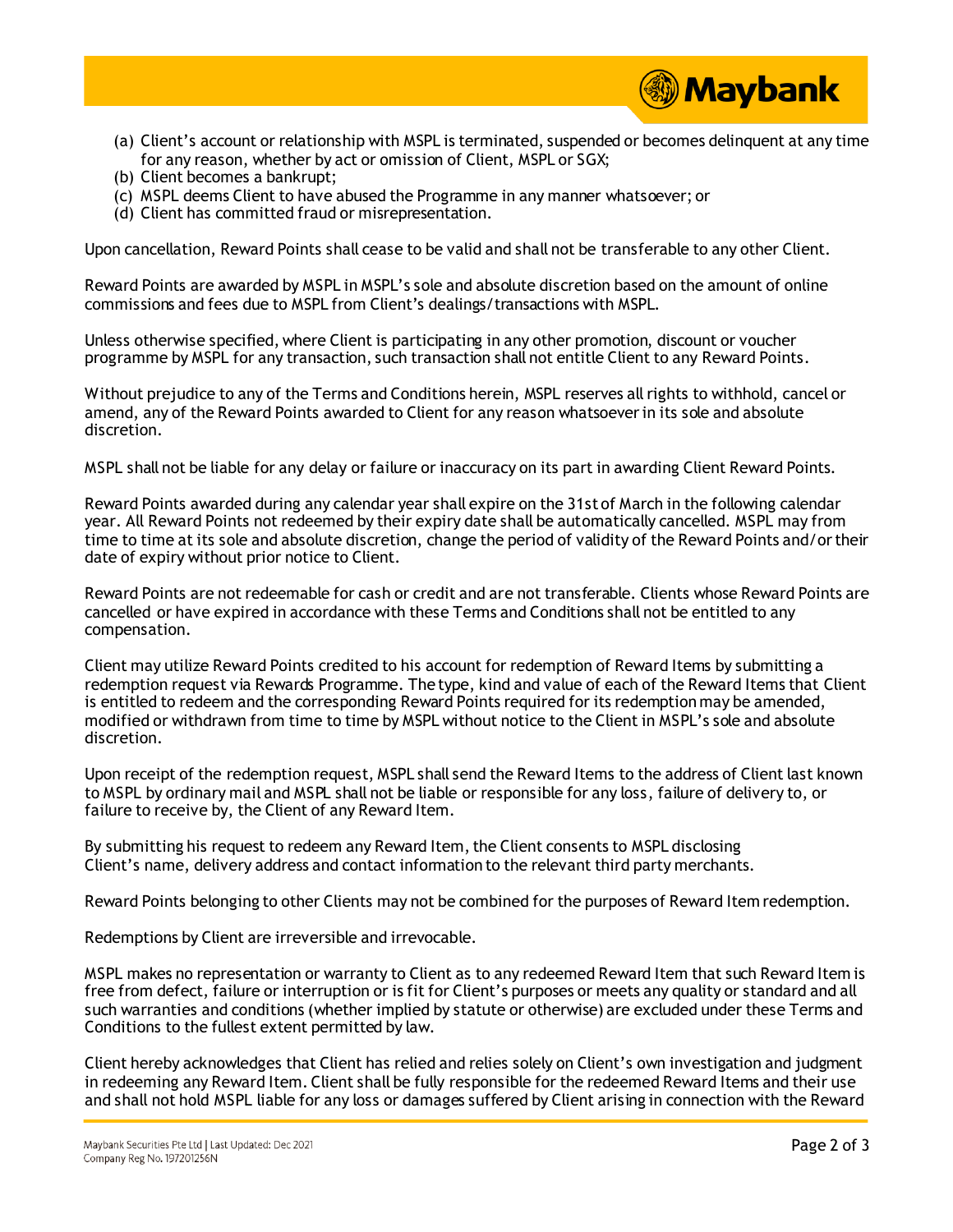

- (a) Client's account or relationship with MSPL is terminated, suspended or becomes delinquent at any time for any reason, whether by act or omission of Client, MSPL or SGX;
- (b) Client becomes a bankrupt;
- (c) MSPL deems Client to have abused the Programme in any manner whatsoever; or
- (d) Client has committed fraud or misrepresentation.

Upon cancellation, Reward Points shall cease to be valid and shall not be transferable to any other Client.

Reward Points are awarded by MSPL in MSPL's sole and absolute discretion based on the amount of online commissions and fees due to MSPL from Client's dealings/transactions with MSPL.

Unless otherwise specified, where Client is participating in any other promotion, discount or voucher programme by MSPL for any transaction, such transaction shall not entitle Client to any Reward Points.

Without prejudice to any of the Terms and Conditions herein, MSPL reserves all rights to withhold, cancel or amend, any of the Reward Points awarded to Client for any reason whatsoever in its sole and absolute discretion.

MSPL shall not be liable for any delay or failure or inaccuracy on its part in awarding Client Reward Points.

Reward Points awarded during any calendar year shall expire on the 31st of March in the following calendar year. All Reward Points not redeemed by their expiry date shall be automatically cancelled. MSPL may from time to time at its sole and absolute discretion, change the period of validity of the Reward Points and/or their date of expiry without prior notice to Client.

Reward Points are not redeemable for cash or credit and are not transferable. Clients whose Reward Points are cancelled or have expired in accordance with these Terms and Conditions shall not be entitled to any compensation.

Client may utilize Reward Points credited to his account for redemption of Reward Items by submitting a redemption request via Rewards Programme. The type, kind and value of each of the Reward Items that Client is entitled to redeem and the corresponding Reward Points required for its redemption may be amended, modified or withdrawn from time to time by MSPL without notice to the Client in MSPL's sole and absolute discretion.

Upon receipt of the redemption request, MSPL shall send the Reward Items to the address of Client last known to MSPL by ordinary mail and MSPL shall not be liable or responsible for any loss, failure of delivery to, or failure to receive by, the Client of any Reward Item.

By submitting his request to redeem any Reward Item, the Client consents to MSPL disclosing Client's name, delivery address and contact information to the relevant third party merchants.

Reward Points belonging to other Clients may not be combined for the purposes of Reward Item redemption.

Redemptions by Client are irreversible and irrevocable.

MSPL makes no representation or warranty to Client as to any redeemed Reward Item that such Reward Item is free from defect, failure or interruption or is fit for Client's purposes or meets any quality or standard and all such warranties and conditions (whether implied by statute or otherwise) are excluded under these Terms and Conditions to the fullest extent permitted by law.

Client hereby acknowledges that Client has relied and relies solely on Client's own investigation and judgment in redeeming any Reward Item. Client shall be fully responsible for the redeemed Reward Items and their use and shall not hold MSPL liable for any loss or damages suffered by Client arising in connection with the Reward